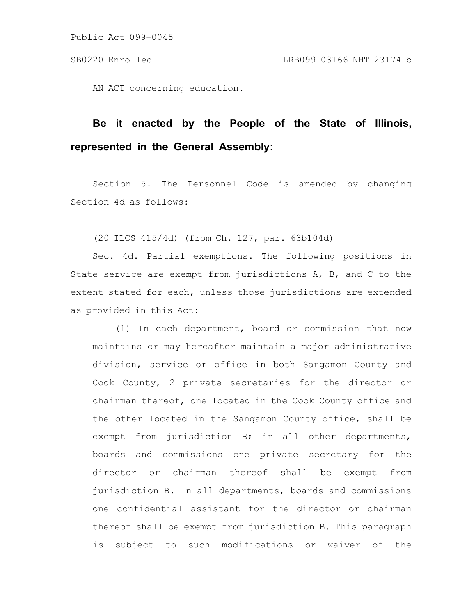Public Act 099-0045

AN ACT concerning education.

# **Be it enacted by the People of the State of Illinois, represented in the General Assembly:**

Section 5. The Personnel Code is amended by changing Section 4d as follows:

(20 ILCS 415/4d) (from Ch. 127, par. 63b104d)

Sec. 4d. Partial exemptions. The following positions in State service are exempt from jurisdictions A, B, and C to the extent stated for each, unless those jurisdictions are extended as provided in this Act:

(1) In each department, board or commission that now maintains or may hereafter maintain a major administrative division, service or office in both Sangamon County and Cook County, 2 private secretaries for the director or chairman thereof, one located in the Cook County office and the other located in the Sangamon County office, shall be exempt from jurisdiction B; in all other departments, boards and commissions one private secretary for the director or chairman thereof shall be exempt from jurisdiction B. In all departments, boards and commissions one confidential assistant for the director or chairman thereof shall be exempt from jurisdiction B. This paragraph is subject to such modifications or waiver of the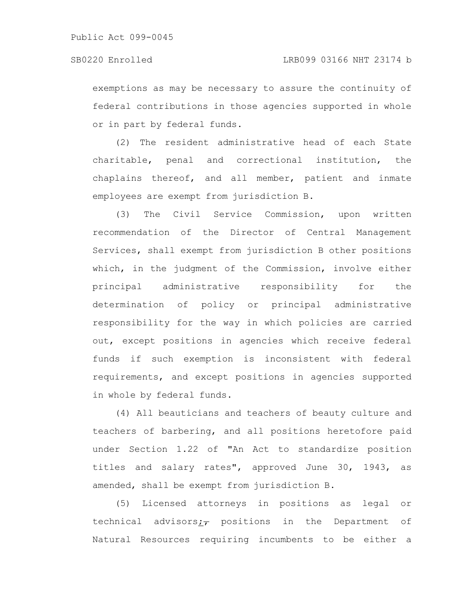exemptions as may be necessary to assure the continuity of federal contributions in those agencies supported in whole or in part by federal funds.

(2) The resident administrative head of each State charitable, penal and correctional institution, the chaplains thereof, and all member, patient and inmate employees are exempt from jurisdiction B.

(3) The Civil Service Commission, upon written recommendation of the Director of Central Management Services, shall exempt from jurisdiction B other positions which, in the judgment of the Commission, involve either principal administrative responsibility for the determination of policy or principal administrative responsibility for the way in which policies are carried out, except positions in agencies which receive federal funds if such exemption is inconsistent with federal requirements, and except positions in agencies supported in whole by federal funds.

(4) All beauticians and teachers of beauty culture and teachers of barbering, and all positions heretofore paid under Section 1.22 of "An Act to standardize position titles and salary rates", approved June 30, 1943, as amended, shall be exempt from jurisdiction B.

(5) Licensed attorneys in positions as legal or technical advisors; $\tau$  positions in the Department of Natural Resources requiring incumbents to be either a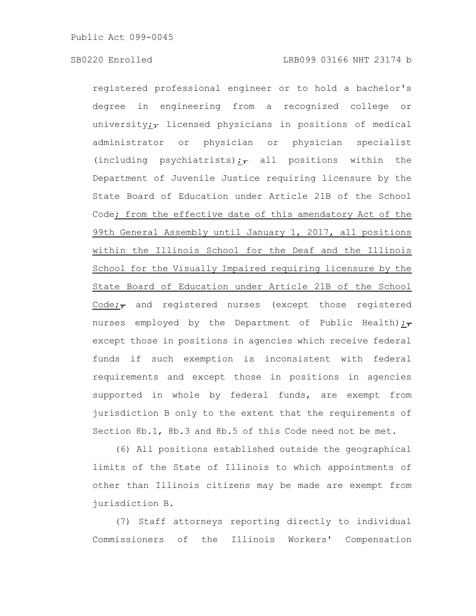registered professional engineer or to hold a bachelor's degree in engineering from a recognized college or university; $\tau$  licensed physicians in positions of medical administrator or physician or physician specialist (including psychiatrists); all positions within the Department of Juvenile Justice requiring licensure by the State Board of Education under Article 21B of the School Code; from the effective date of this amendatory Act of the 99th General Assembly until January 1, 2017, all positions within the Illinois School for the Deaf and the Illinois School for the Visually Impaired requiring licensure by the State Board of Education under Article 21B of the School Code; $\tau$  and registered nurses (except those registered nurses employed by the Department of Public Health); $_{\tau}$ except those in positions in agencies which receive federal funds if such exemption is inconsistent with federal requirements and except those in positions in agencies supported in whole by federal funds, are exempt from jurisdiction B only to the extent that the requirements of Section 8b.1, 8b.3 and 8b.5 of this Code need not be met.

(6) All positions established outside the geographical limits of the State of Illinois to which appointments of other than Illinois citizens may be made are exempt from jurisdiction B.

(7) Staff attorneys reporting directly to individual Commissioners of the Illinois Workers' Compensation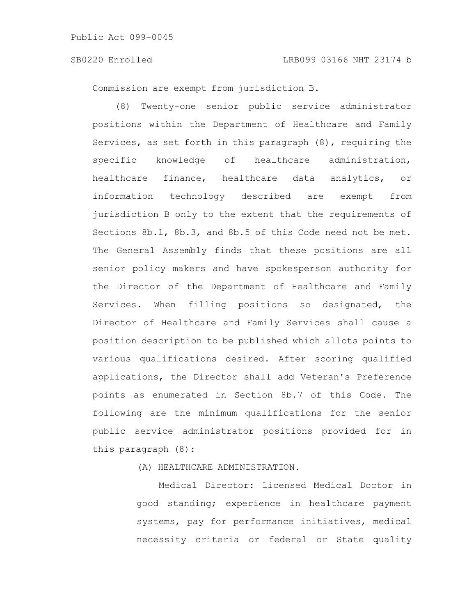Commission are exempt from jurisdiction B.

(8) Twenty-one senior public service administrator positions within the Department of Healthcare and Family Services, as set forth in this paragraph (8), requiring the specific knowledge of healthcare administration, healthcare finance, healthcare data analytics, or information technology described are exempt from jurisdiction B only to the extent that the requirements of Sections 8b.1, 8b.3, and 8b.5 of this Code need not be met. The General Assembly finds that these positions are all senior policy makers and have spokesperson authority for the Director of the Department of Healthcare and Family Services. When filling positions so designated, the Director of Healthcare and Family Services shall cause a position description to be published which allots points to various qualifications desired. After scoring qualified applications, the Director shall add Veteran's Preference points as enumerated in Section 8b.7 of this Code. The following are the minimum qualifications for the senior public service administrator positions provided for in this paragraph (8):

(A) HEALTHCARE ADMINISTRATION.

Medical Director: Licensed Medical Doctor in good standing; experience in healthcare payment systems, pay for performance initiatives, medical necessity criteria or federal or State quality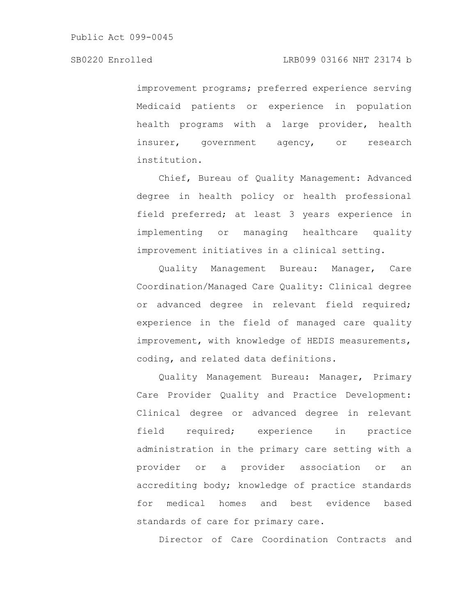improvement programs; preferred experience serving Medicaid patients or experience in population health programs with a large provider, health insurer, government agency, or research institution.

Chief, Bureau of Quality Management: Advanced degree in health policy or health professional field preferred; at least 3 years experience in implementing or managing healthcare quality improvement initiatives in a clinical setting.

Quality Management Bureau: Manager, Care Coordination/Managed Care Quality: Clinical degree or advanced degree in relevant field required; experience in the field of managed care quality improvement, with knowledge of HEDIS measurements, coding, and related data definitions.

Quality Management Bureau: Manager, Primary Care Provider Quality and Practice Development: Clinical degree or advanced degree in relevant field required; experience in practice administration in the primary care setting with a provider or a provider association or an accrediting body; knowledge of practice standards for medical homes and best evidence based standards of care for primary care.

Director of Care Coordination Contracts and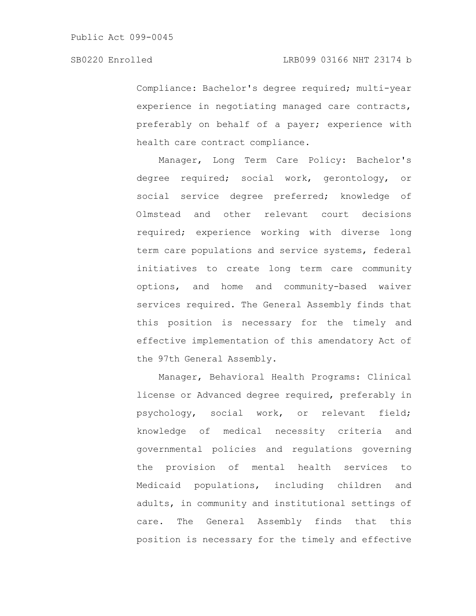Compliance: Bachelor's degree required; multi-year experience in negotiating managed care contracts, preferably on behalf of a payer; experience with health care contract compliance.

Manager, Long Term Care Policy: Bachelor's degree required; social work, gerontology, or social service degree preferred; knowledge of Olmstead and other relevant court decisions required; experience working with diverse long term care populations and service systems, federal initiatives to create long term care community options, and home and community-based waiver services required. The General Assembly finds that this position is necessary for the timely and effective implementation of this amendatory Act of the 97th General Assembly.

Manager, Behavioral Health Programs: Clinical license or Advanced degree required, preferably in psychology, social work, or relevant field; knowledge of medical necessity criteria and governmental policies and regulations governing the provision of mental health services to Medicaid populations, including children and adults, in community and institutional settings of care. The General Assembly finds that this position is necessary for the timely and effective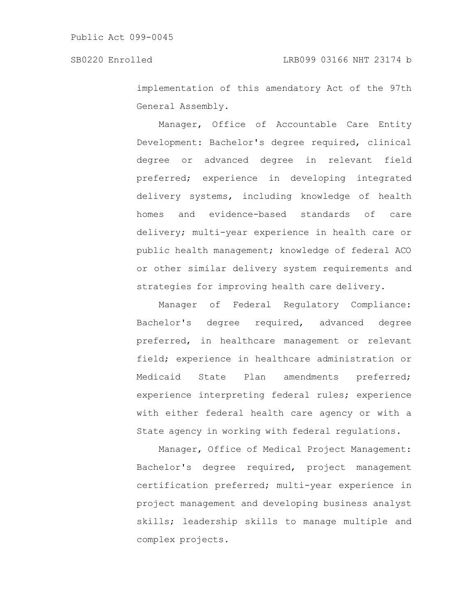implementation of this amendatory Act of the 97th General Assembly.

Manager, Office of Accountable Care Entity Development: Bachelor's degree required, clinical degree or advanced degree in relevant field preferred; experience in developing integrated delivery systems, including knowledge of health homes and evidence-based standards of care delivery; multi-year experience in health care or public health management; knowledge of federal ACO or other similar delivery system requirements and strategies for improving health care delivery.

Manager of Federal Regulatory Compliance: Bachelor's degree required, advanced degree preferred, in healthcare management or relevant field; experience in healthcare administration or Medicaid State Plan amendments preferred; experience interpreting federal rules; experience with either federal health care agency or with a State agency in working with federal regulations.

Manager, Office of Medical Project Management: Bachelor's degree required, project management certification preferred; multi-year experience in project management and developing business analyst skills; leadership skills to manage multiple and complex projects.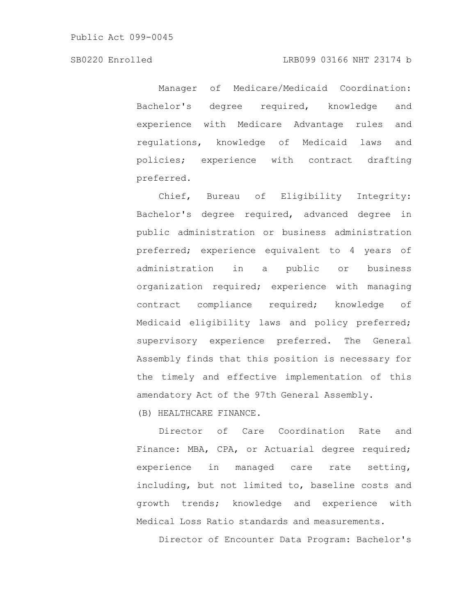Manager of Medicare/Medicaid Coordination: Bachelor's degree required, knowledge and experience with Medicare Advantage rules and regulations, knowledge of Medicaid laws and policies; experience with contract drafting preferred.

Chief, Bureau of Eligibility Integrity: Bachelor's degree required, advanced degree in public administration or business administration preferred; experience equivalent to 4 years of administration in a public or business organization required; experience with managing contract compliance required; knowledge of Medicaid eligibility laws and policy preferred; supervisory experience preferred. The General Assembly finds that this position is necessary for the timely and effective implementation of this amendatory Act of the 97th General Assembly.

(B) HEALTHCARE FINANCE.

Director of Care Coordination Rate and Finance: MBA, CPA, or Actuarial degree required; experience in managed care rate setting, including, but not limited to, baseline costs and growth trends; knowledge and experience with Medical Loss Ratio standards and measurements.

Director of Encounter Data Program: Bachelor's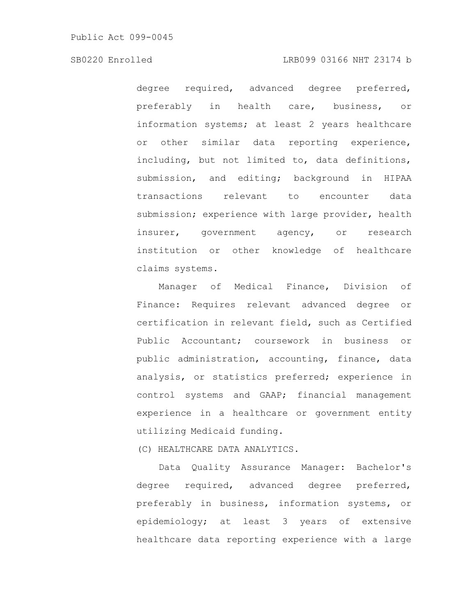degree required, advanced degree preferred, preferably in health care, business, or information systems; at least 2 years healthcare or other similar data reporting experience, including, but not limited to, data definitions, submission, and editing; background in HIPAA transactions relevant to encounter data submission; experience with large provider, health insurer, government agency, or research institution or other knowledge of healthcare claims systems.

Manager of Medical Finance, Division of Finance: Requires relevant advanced degree or certification in relevant field, such as Certified Public Accountant; coursework in business or public administration, accounting, finance, data analysis, or statistics preferred; experience in control systems and GAAP; financial management experience in a healthcare or government entity utilizing Medicaid funding.

(C) HEALTHCARE DATA ANALYTICS.

Data Quality Assurance Manager: Bachelor's degree required, advanced degree preferred, preferably in business, information systems, or epidemiology; at least 3 years of extensive healthcare data reporting experience with a large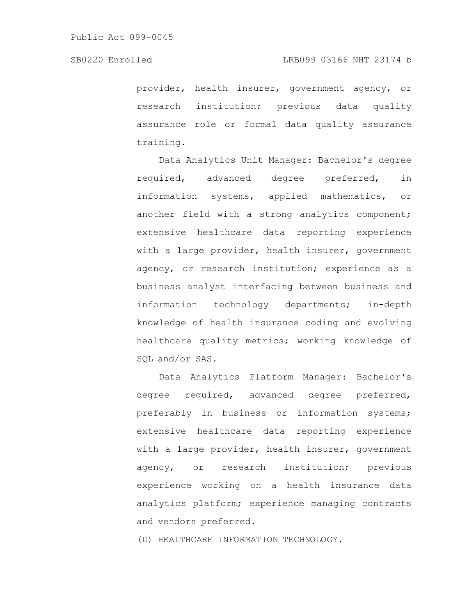provider, health insurer, government agency, or research institution; previous data quality assurance role or formal data quality assurance training.

Data Analytics Unit Manager: Bachelor's degree required, advanced degree preferred, in information systems, applied mathematics, or another field with a strong analytics component; extensive healthcare data reporting experience with a large provider, health insurer, government agency, or research institution; experience as a business analyst interfacing between business and information technology departments; in-depth knowledge of health insurance coding and evolving healthcare quality metrics; working knowledge of SQL and/or SAS.

Data Analytics Platform Manager: Bachelor's degree required, advanced degree preferred, preferably in business or information systems; extensive healthcare data reporting experience with a large provider, health insurer, government agency, or research institution; previous experience working on a health insurance data analytics platform; experience managing contracts and vendors preferred.

(D) HEALTHCARE INFORMATION TECHNOLOGY.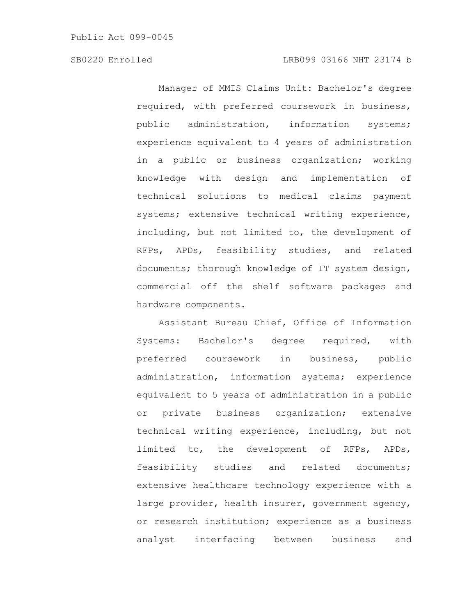Manager of MMIS Claims Unit: Bachelor's degree required, with preferred coursework in business, public administration, information systems; experience equivalent to 4 years of administration in a public or business organization; working knowledge with design and implementation of technical solutions to medical claims payment systems; extensive technical writing experience, including, but not limited to, the development of RFPs, APDs, feasibility studies, and related documents; thorough knowledge of IT system design, commercial off the shelf software packages and hardware components.

Assistant Bureau Chief, Office of Information Systems: Bachelor's degree required, with preferred coursework in business, public administration, information systems; experience equivalent to 5 years of administration in a public or private business organization; extensive technical writing experience, including, but not limited to, the development of RFPs, APDs, feasibility studies and related documents; extensive healthcare technology experience with a large provider, health insurer, government agency, or research institution; experience as a business analyst interfacing between business and